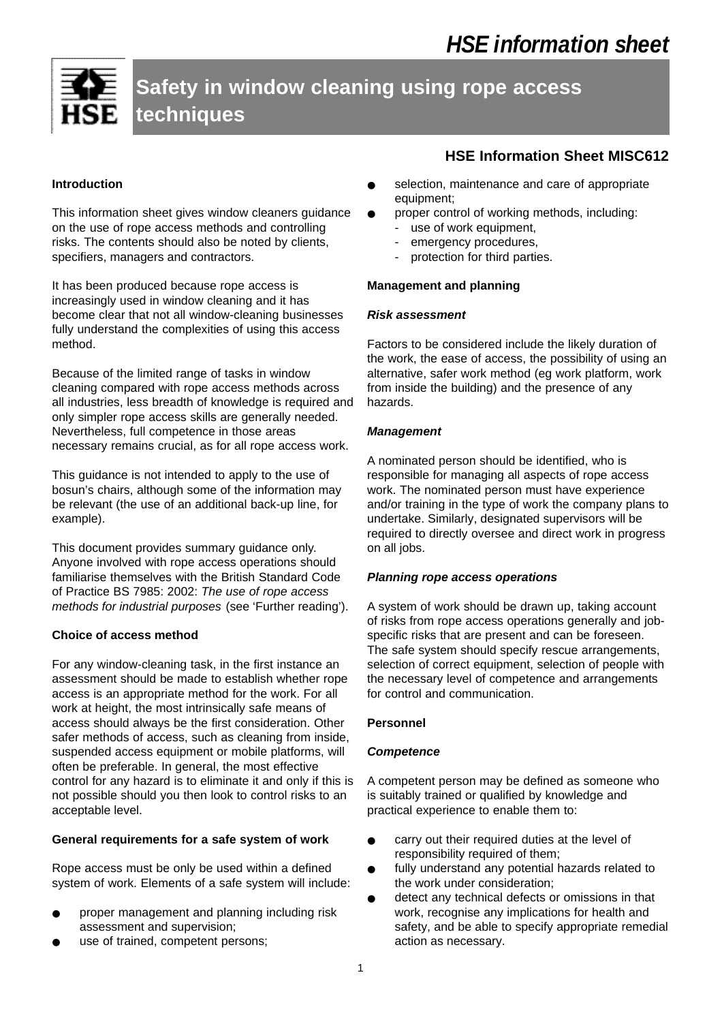# **Safety in window cleaning using rope access techniques**

# **Introduction**

This information sheet gives window cleaners guidance on the use of rope access methods and controlling risks. The contents should also be noted by clients, specifiers, managers and contractors.

It has been produced because rope access is increasingly used in window cleaning and it has become clear that not all window-cleaning businesses fully understand the complexities of using this access method.

Because of the limited range of tasks in window cleaning compared with rope access methods across all industries, less breadth of knowledge is required and only simpler rope access skills are generally needed. Nevertheless, full competence in those areas necessary remains crucial, as for all rope access work.

This guidance is not intended to apply to the use of bosun's chairs, although some of the information may be relevant (the use of an additional back-up line, for example).

This document provides summary guidance only. Anyone involved with rope access operations should familiarise themselves with the British Standard Code of Practice BS 7985: 2002: *The use of rope access methods for industrial purposes* (see 'Further reading').

# **Choice of access method**

For any window-cleaning task, in the first instance an assessment should be made to establish whether rope access is an appropriate method for the work. For all work at height, the most intrinsically safe means of access should always be the first consideration. Other safer methods of access, such as cleaning from inside, suspended access equipment or mobile platforms, will often be preferable. In general, the most effective control for any hazard is to eliminate it and only if this is not possible should you then look to control risks to an acceptable level.

# **General requirements for a safe system of work**

Rope access must be only be used within a defined system of work. Elements of a safe system will include:

- proper management and planning including risk assessment and supervision;
- use of trained, competent persons;

# **HSE Information Sheet MISC612**

- selection, maintenance and care of appropriate equipment;
- proper control of working methods, including:
	- use of work equipment,
	- emergency procedures,
	- protection for third parties.

#### **Management and planning**

#### *Risk assessment*

Factors to be considered include the likely duration of the work, the ease of access, the possibility of using an alternative, safer work method (eg work platform, work from inside the building) and the presence of any hazards.

#### *Management*

A nominated person should be identified, who is responsible for managing all aspects of rope access work. The nominated person must have experience and/or training in the type of work the company plans to undertake. Similarly, designated supervisors will be required to directly oversee and direct work in progress on all jobs.

#### *Planning rope access operations*

A system of work should be drawn up, taking account of risks from rope access operations generally and jobspecific risks that are present and can be foreseen. The safe system should specify rescue arrangements, selection of correct equipment, selection of people with the necessary level of competence and arrangements for control and communication.

#### **Personnel**

#### *Competence*

A competent person may be defined as someone who is suitably trained or qualified by knowledge and practical experience to enable them to:

- carry out their required duties at the level of responsibility required of them;
- fully understand any potential hazards related to the work under consideration;
- detect any technical defects or omissions in that work, recognise any implications for health and safety, and be able to specify appropriate remedial action as necessary.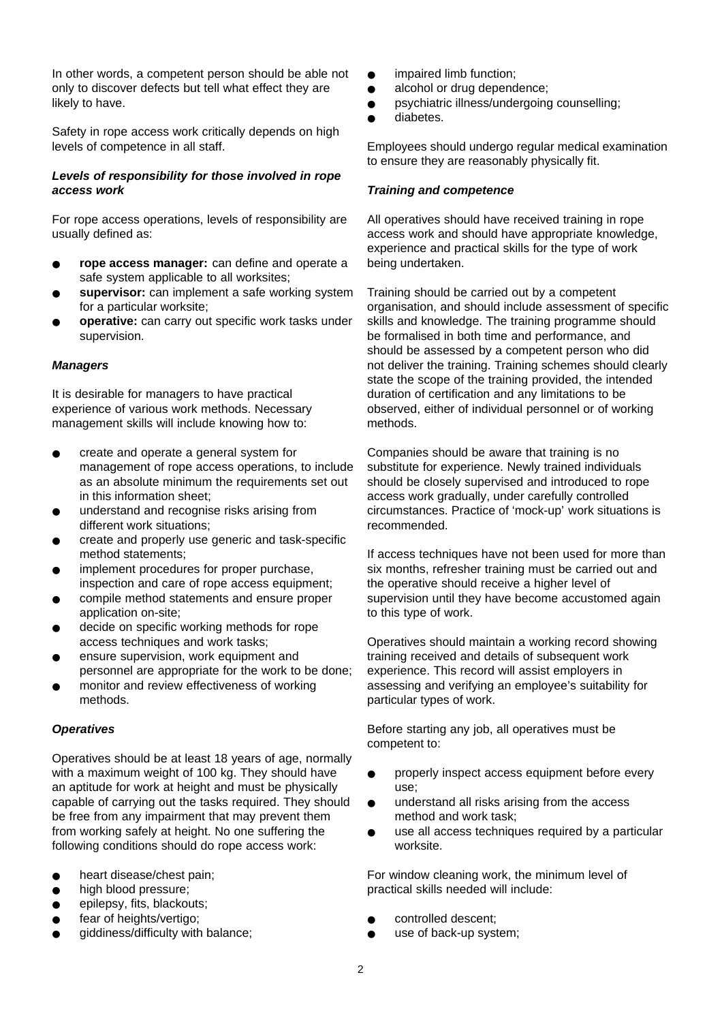In other words, a competent person should be able not only to discover defects but tell what effect they are likely to have.

Safety in rope access work critically depends on high levels of competence in all staff.

# *Levels of responsibility for those involved in rope access work*

For rope access operations, levels of responsibility are usually defined as:

- **rope access manager:** can define and operate a safe system applicable to all worksites;
- supervisor: can implement a safe working system for a particular worksite;
- operative: can carry out specific work tasks under supervision.

# *Managers*

It is desirable for managers to have practical experience of various work methods. Necessary management skills will include knowing how to:

- create and operate a general system for management of rope access operations, to include as an absolute minimum the requirements set out in this information sheet;
- understand and recognise risks arising from different work situations;
- create and properly use generic and task-specific method statements;
- implement procedures for proper purchase, inspection and care of rope access equipment;
- compile method statements and ensure proper application on-site;
- decide on specific working methods for rope access techniques and work tasks;
- ensure supervision, work equipment and personnel are appropriate for the work to be done;
- monitor and review effectiveness of working methods.

# *Operatives*

Operatives should be at least 18 years of age, normally with a maximum weight of 100 kg. They should have an aptitude for work at height and must be physically capable of carrying out the tasks required. They should be free from any impairment that may prevent them from working safely at height. No one suffering the following conditions should do rope access work:

- heart disease/chest pain;
- high blood pressure;
- epilepsy, fits, blackouts;
- fear of heights/vertigo;
- giddiness/difficulty with balance;
- impaired limb function;
- alcohol or drug dependence:
- psychiatric illness/undergoing counselling;
- diabetes.

Employees should undergo regular medical examination to ensure they are reasonably physically fit.

#### *Training and competence*

All operatives should have received training in rope access work and should have appropriate knowledge, experience and practical skills for the type of work being undertaken.

Training should be carried out by a competent organisation, and should include assessment of specific skills and knowledge. The training programme should be formalised in both time and performance, and should be assessed by a competent person who did not deliver the training. Training schemes should clearly state the scope of the training provided, the intended duration of certification and any limitations to be observed, either of individual personnel or of working methods.

Companies should be aware that training is no substitute for experience. Newly trained individuals should be closely supervised and introduced to rope access work gradually, under carefully controlled circumstances. Practice of 'mock-up' work situations is recommended.

If access techniques have not been used for more than six months, refresher training must be carried out and the operative should receive a higher level of supervision until they have become accustomed again to this type of work.

Operatives should maintain a working record showing training received and details of subsequent work experience. This record will assist employers in assessing and verifying an employee's suitability for particular types of work.

Before starting any job, all operatives must be competent to:

- properly inspect access equipment before every use;
- understand all risks arising from the access method and work task;
- use all access techniques required by a particular worksite.

For window cleaning work, the minimum level of practical skills needed will include:

- controlled descent;
- use of back-up system;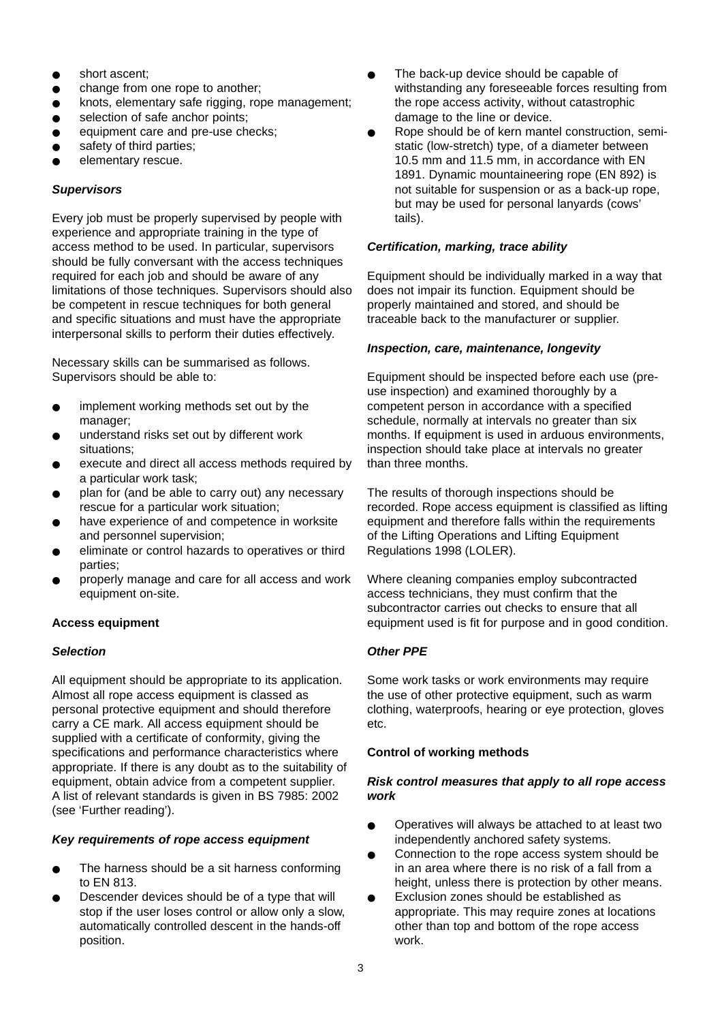- short ascent;
- change from one rope to another:
- knots, elementary safe rigging, rope management;
- selection of safe anchor points:
- equipment care and pre-use checks;
- safety of third parties;
- elementary rescue.

#### *Supervisors*

Every job must be properly supervised by people with experience and appropriate training in the type of access method to be used. In particular, supervisors should be fully conversant with the access techniques required for each job and should be aware of any limitations of those techniques. Supervisors should also be competent in rescue techniques for both general and specific situations and must have the appropriate interpersonal skills to perform their duties effectively.

Necessary skills can be summarised as follows. Supervisors should be able to:

- implement working methods set out by the manager:
- understand risks set out by different work situations;
- execute and direct all access methods required by a particular work task;
- plan for (and be able to carry out) any necessary rescue for a particular work situation;
- have experience of and competence in worksite and personnel supervision;
- eliminate or control hazards to operatives or third parties;
- properly manage and care for all access and work equipment on-site.

#### **Access equipment**

#### *Selection*

All equipment should be appropriate to its application. Almost all rope access equipment is classed as personal protective equipment and should therefore carry a CE mark. All access equipment should be supplied with a certificate of conformity, giving the specifications and performance characteristics where appropriate. If there is any doubt as to the suitability of equipment, obtain advice from a competent supplier. A list of relevant standards is given in BS 7985: 2002 (see 'Further reading').

# *Key requirements of rope access equipment*

- The harness should be a sit harness conforming to EN 813.
- Descender devices should be of a type that will stop if the user loses control or allow only a slow, automatically controlled descent in the hands-off position.
- The back-up device should be capable of withstanding any foreseeable forces resulting from the rope access activity, without catastrophic damage to the line or device.
- Rope should be of kern mantel construction, semistatic (low-stretch) type, of a diameter between 10.5 mm and 11.5 mm, in accordance with EN 1891. Dynamic mountaineering rope (EN 892) is not suitable for suspension or as a back-up rope, but may be used for personal lanyards (cows' tails).

#### *Certification, marking, trace ability*

Equipment should be individually marked in a way that does not impair its function. Equipment should be properly maintained and stored, and should be traceable back to the manufacturer or supplier.

#### *Inspection, care, maintenance, longevity*

Equipment should be inspected before each use (preuse inspection) and examined thoroughly by a competent person in accordance with a specified schedule, normally at intervals no greater than six months. If equipment is used in arduous environments, inspection should take place at intervals no greater than three months.

The results of thorough inspections should be recorded. Rope access equipment is classified as lifting equipment and therefore falls within the requirements of the Lifting Operations and Lifting Equipment Regulations 1998 (LOLER).

Where cleaning companies employ subcontracted access technicians, they must confirm that the subcontractor carries out checks to ensure that all equipment used is fit for purpose and in good condition.

# *Other PPE*

Some work tasks or work environments may require the use of other protective equipment, such as warm clothing, waterproofs, hearing or eye protection, gloves etc.

# **Control of working methods**

#### *Risk control measures that apply to all rope access work*

- Operatives will always be attached to at least two independently anchored safety systems.
- Connection to the rope access system should be in an area where there is no risk of a fall from a height, unless there is protection by other means.
- Exclusion zones should be established as appropriate. This may require zones at locations other than top and bottom of the rope access work.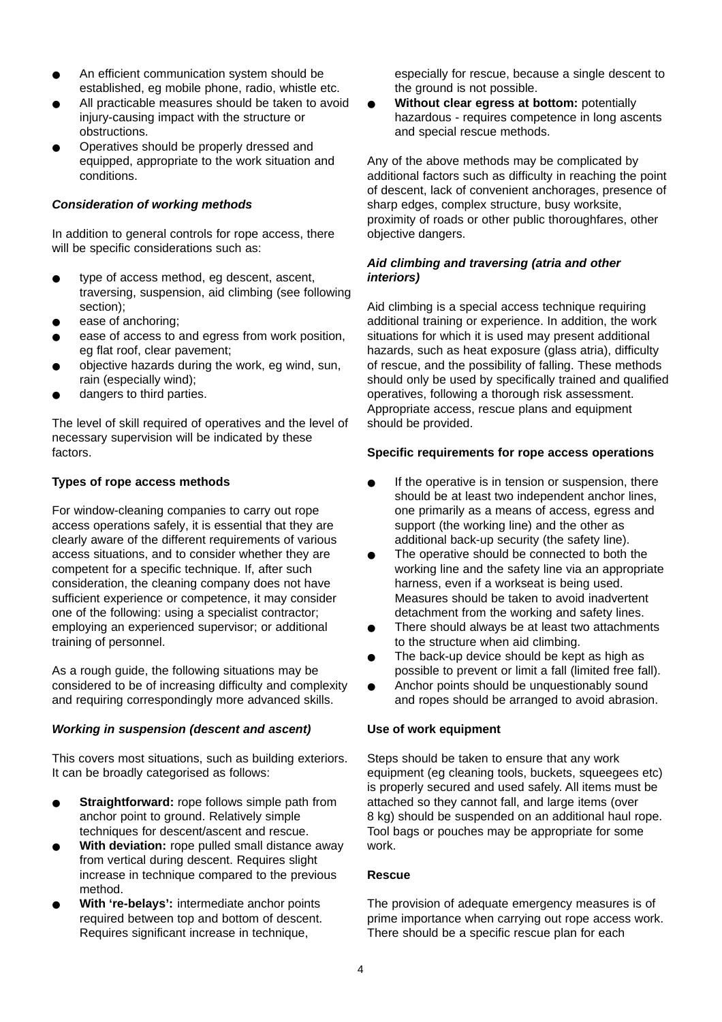- An efficient communication system should be established, eg mobile phone, radio, whistle etc.
- All practicable measures should be taken to avoid injury-causing impact with the structure or obstructions.
- Operatives should be properly dressed and equipped, appropriate to the work situation and conditions.

# *Consideration of working methods*

In addition to general controls for rope access, there will be specific considerations such as:

- type of access method, eg descent, ascent, traversing, suspension, aid climbing (see following section);
- ease of anchoring;
- ease of access to and egress from work position, eg flat roof, clear pavement;
- objective hazards during the work, eg wind, sun, rain (especially wind);
- dangers to third parties.

The level of skill required of operatives and the level of necessary supervision will be indicated by these factors.

# **Types of rope access methods**

For window-cleaning companies to carry out rope access operations safely, it is essential that they are clearly aware of the different requirements of various access situations, and to consider whether they are competent for a specific technique. If, after such consideration, the cleaning company does not have sufficient experience or competence, it may consider one of the following: using a specialist contractor; employing an experienced supervisor; or additional training of personnel.

As a rough guide, the following situations may be considered to be of increasing difficulty and complexity and requiring correspondingly more advanced skills.

# *Working in suspension (descent and ascent)*

This covers most situations, such as building exteriors. It can be broadly categorised as follows:

- **Straightforward:** rope follows simple path from anchor point to ground. Relatively simple techniques for descent/ascent and rescue.
- **With deviation:** rope pulled small distance away from vertical during descent. Requires slight increase in technique compared to the previous method.
- With 're-belays': intermediate anchor points required between top and bottom of descent. Requires significant increase in technique,

especially for rescue, because a single descent to the ground is not possible.

**Without clear egress at bottom: potentially** hazardous - requires competence in long ascents and special rescue methods.

Any of the above methods may be complicated by additional factors such as difficulty in reaching the point of descent, lack of convenient anchorages, presence of sharp edges, complex structure, busy worksite, proximity of roads or other public thoroughfares, other objective dangers.

# *Aid climbing and traversing (atria and other interiors)*

Aid climbing is a special access technique requiring additional training or experience. In addition, the work situations for which it is used may present additional hazards, such as heat exposure (glass atria), difficulty of rescue, and the possibility of falling. These methods should only be used by specifically trained and qualified operatives, following a thorough risk assessment. Appropriate access, rescue plans and equipment should be provided.

# **Specific requirements for rope access operations**

- If the operative is in tension or suspension, there should be at least two independent anchor lines, one primarily as a means of access, egress and support (the working line) and the other as additional back-up security (the safety line).
- The operative should be connected to both the working line and the safety line via an appropriate harness, even if a workseat is being used. Measures should be taken to avoid inadvertent detachment from the working and safety lines.
- There should always be at least two attachments to the structure when aid climbing.
- The back-up device should be kept as high as possible to prevent or limit a fall (limited free fall).
- Anchor points should be unquestionably sound and ropes should be arranged to avoid abrasion.

# **Use of work equipment**

Steps should be taken to ensure that any work equipment (eg cleaning tools, buckets, squeegees etc) is properly secured and used safely. All items must be attached so they cannot fall, and large items (over 8 kg) should be suspended on an additional haul rope. Tool bags or pouches may be appropriate for some work.

# **Rescue**

The provision of adequate emergency measures is of prime importance when carrying out rope access work. There should be a specific rescue plan for each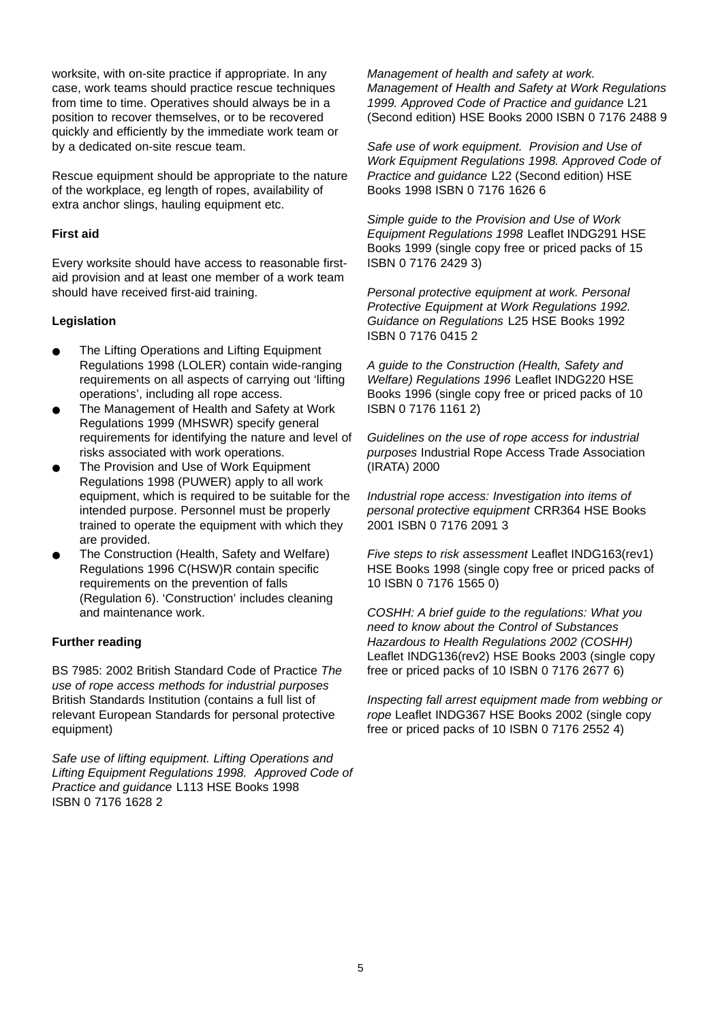worksite, with on-site practice if appropriate. In any case, work teams should practice rescue techniques from time to time. Operatives should always be in a position to recover themselves, or to be recovered quickly and efficiently by the immediate work team or by a dedicated on-site rescue team.

Rescue equipment should be appropriate to the nature of the workplace, eg length of ropes, availability of extra anchor slings, hauling equipment etc.

# **First aid**

Every worksite should have access to reasonable firstaid provision and at least one member of a work team should have received first-aid training.

# **Legislation**

- The Lifting Operations and Lifting Equipment Regulations 1998 (LOLER) contain wide-ranging requirements on all aspects of carrying out 'lifting operations', including all rope access.
- The Management of Health and Safety at Work Regulations 1999 (MHSWR) specify general requirements for identifying the nature and level of risks associated with work operations.
- The Provision and Use of Work Equipment Regulations 1998 (PUWER) apply to all work equipment, which is required to be suitable for the intended purpose. Personnel must be properly trained to operate the equipment with which they are provided.
- The Construction (Health, Safety and Welfare) Regulations 1996 C(HSW)R contain specific requirements on the prevention of falls (Regulation 6). 'Construction' includes cleaning and maintenance work.

# **Further reading**

BS 7985: 2002 British Standard Code of Practice *The use of rope access methods for industrial purposes* British Standards Institution (contains a full list of relevant European Standards for personal protective equipment)

*Safe use of lifting equipment. Lifting Operations and Lifting Equipment Regulations 1998. Approved Code of Practice and guidance* L113 HSE Books 1998 ISBN 0 7176 1628 2

*Management of health and safety at work. Management of Health and Safety at Work Regulations 1999. Approved Code of Practice and guidance* L21 (Second edition) HSE Books 2000 ISBN 0 7176 2488 9

*Safe use of work equipment. Provision and Use of Work Equipment Regulations 1998. Approved Code of Practice and guidance* L22 (Second edition) HSE Books 1998 ISBN 0 7176 1626 6

*Simple guide to the Provision and Use of Work Equipment Regulations 1998* Leaflet INDG291 HSE Books 1999 (single copy free or priced packs of 15 ISBN 0 7176 2429 3)

*Personal protective equipment at work. Personal Protective Equipment at Work Regulations 1992. Guidance on Regulations* L25 HSE Books 1992 ISBN 0 7176 0415 2

*A guide to the Construction (Health, Safety and Welfare) Regulations 1996* Leaflet INDG220 HSE Books 1996 (single copy free or priced packs of 10 ISBN 0 7176 1161 2)

*Guidelines on the use of rope access for industrial purposes* Industrial Rope Access Trade Association (IRATA) 2000

*Industrial rope access: Investigation into items of personal protective equipment* CRR364 HSE Books 2001 ISBN 0 7176 2091 3

*Five steps to risk assessment* Leaflet INDG163(rev1) HSE Books 1998 (single copy free or priced packs of 10 ISBN 0 7176 1565 0)

*COSHH: A brief guide to the regulations: What you need to know about the Control of Substances Hazardous to Health Regulations 2002 (COSHH)* Leaflet INDG136(rev2) HSE Books 2003 (single copy free or priced packs of 10 ISBN 0 7176 2677 6)

*Inspecting fall arrest equipment made from webbing or rope* Leaflet INDG367 HSE Books 2002 (single copy free or priced packs of 10 ISBN 0 7176 2552 4)